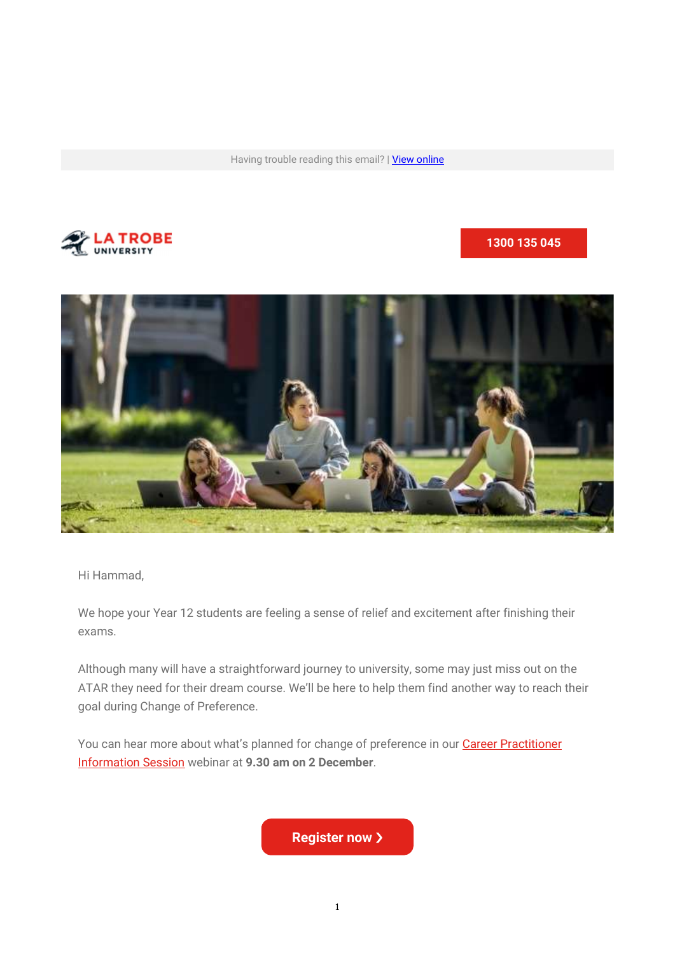Having trouble reading this email? | View online



#### 1300 135 045



Hi Hammad,

We hope your Year 12 students are feeling a sense of relief and excitement after finishing their exams.

Although many will have a straightforward journey to university, some may just miss out on the ATAR they need for their dream course. We'll be here to help them find another way to reach their goal during Change of Preference.

You can hear more about what's planned for change of preference in our **Career Practitioner** Information Session webinar at 9.30 am on 2 December.

**Register now >**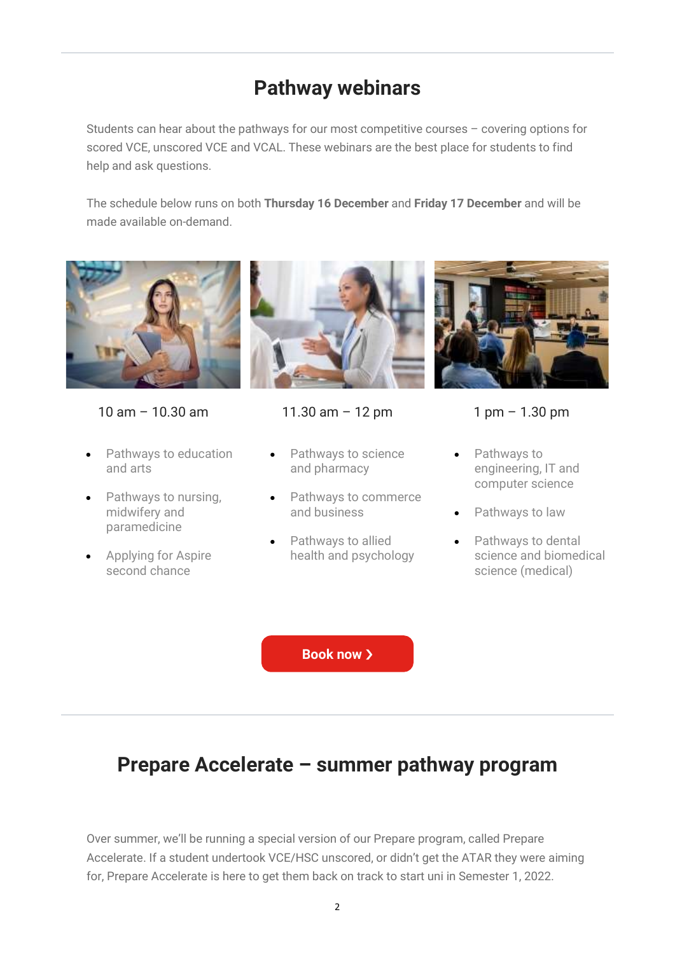# Pathway webinars

Students can hear about the pathways for our most competitive courses – covering options for scored VCE, unscored VCE and VCAL. These webinars are the best place for students to find help and ask questions.

The schedule below runs on both Thursday 16 December and Friday 17 December and will be made available on-demand.



10 am – 10.30 am

- Pathways to education and arts
- Pathways to nursing, midwifery and paramedicine
- **Applying for Aspire** second chance



#### 11.30 am – 12 pm

- Pathways to science and pharmacy
- Pathways to commerce and business
- Pathways to allied health and psychology



#### 1 pm – 1.30 pm

- Pathways to engineering, IT and computer science
- Pathways to law
- Pathways to dental science and biomedical science (medical)

Book now  $\lambda$ 

### Prepare Accelerate – summer pathway program

Over summer, we'll be running a special version of our Prepare program, called Prepare Accelerate. If a student undertook VCE/HSC unscored, or didn't get the ATAR they were aiming for, Prepare Accelerate is here to get them back on track to start uni in Semester 1, 2022.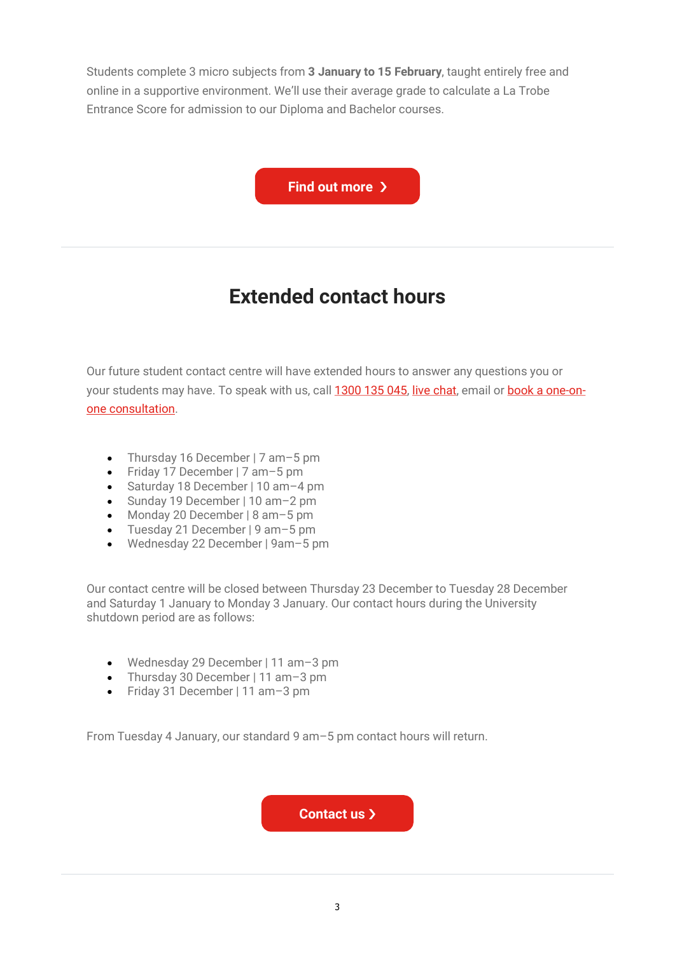Students complete 3 micro subjects from 3 January to 15 February, taught entirely free and online in a supportive environment. We'll use their average grade to calculate a La Trobe Entrance Score for admission to our Diploma and Bachelor courses.

Find out more >

# Extended contact hours

Our future student contact centre will have extended hours to answer any questions you or your students may have. To speak with us, call 1300 135 045, live chat, email or book a one-onone consultation.

- Thursday 16 December | 7 am 5 pm
- Friday 17 December | 7 am–5 pm
- Saturday 18 December | 10 am–4 pm
- Sunday 19 December | 10 am–2 pm
- Monday 20 December | 8 am–5 pm
- Tuesday 21 December | 9 am–5 pm
- Wednesday 22 December | 9am–5 pm

Our contact centre will be closed between Thursday 23 December to Tuesday 28 December and Saturday 1 January to Monday 3 January. Our contact hours during the University shutdown period are as follows:

- Wednesday 29 December | 11 am–3 pm
- Thursday 30 December | 11 am-3 pm
- Friday 31 December | 11 am–3 pm

From Tuesday 4 January, our standard 9 am–5 pm contact hours will return.

Contact us  $\lambda$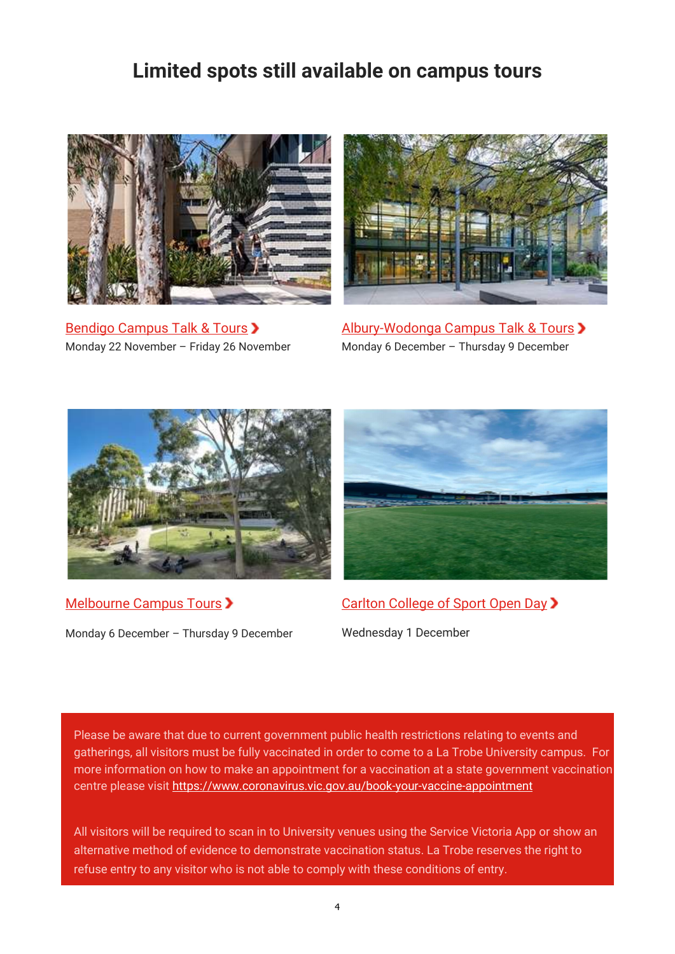## Limited spots still available on campus tours



Bendigo Campus Talk & Tours > Monday 22 November – Friday 26 November



Albury-Wodonga Campus Talk & Tours > Monday 6 December – Thursday 9 December



Melbourne Campus Tours >

Monday 6 December – Thursday 9 December



Carlton College of Sport Open Day >

Wednesday 1 December

Please be aware that due to current government public health restrictions relating to events and gatherings, all visitors must be fully vaccinated in order to come to a La Trobe University campus. For more information on how to make an appointment for a vaccination at a state government vaccination centre please visit https://www.coronavirus.vic.gov.au/book-your-vaccine-appointment

All visitors will be required to scan in to University venues using the Service Victoria App or show an alternative method of evidence to demonstrate vaccination status. La Trobe reserves the right to refuse entry to any visitor who is not able to comply with these conditions of entry.